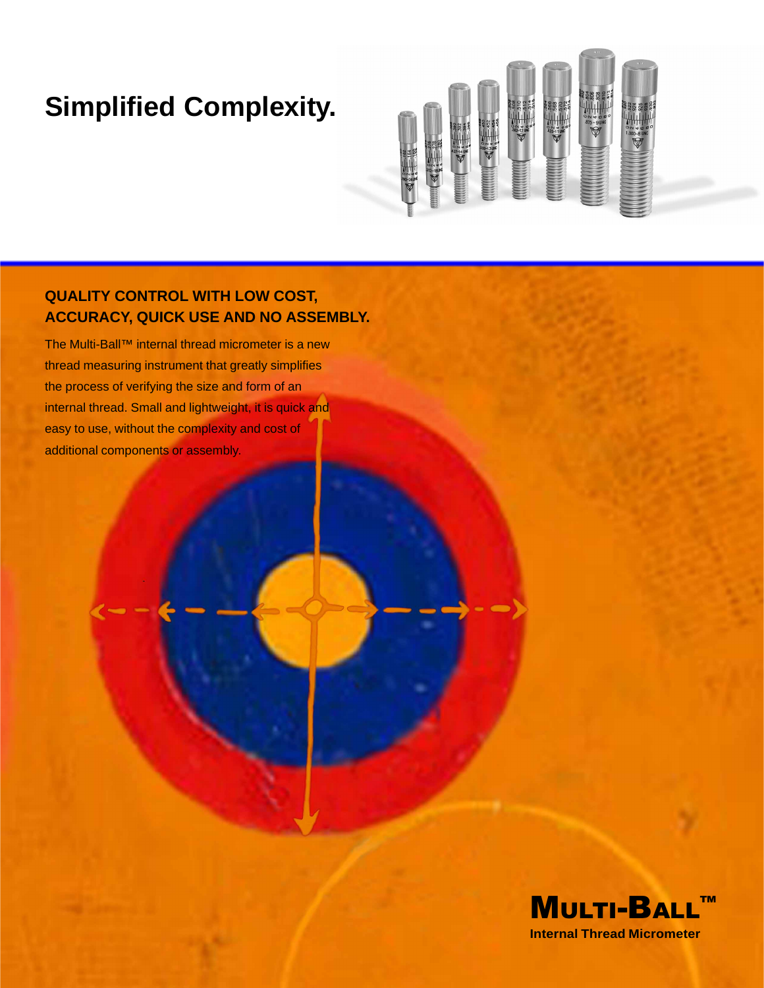# **Simplified Complexity.**



## **QUALITY CONTROL WITH LOW COST, ACCURACY, QUICK USE AND NO ASSEMBLY.**

The Multi-Ball™ internal thread micrometer is a new thread measuring instrument that greatly simplifies the process of verifying the size and form of an internal thread. Small and lightweight, it is quick and easy to use, without the complexity and cost of additional components or assembly.